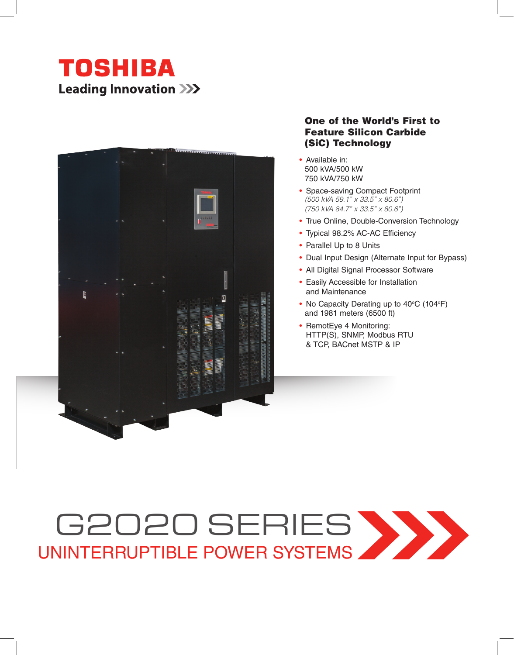



### One of the World's First to Feature Silicon Carbide (SiC) Technology

- Available in: 500 kVA/500 kW 750 kVA/750 kW
- Space-saving Compact Footprint *(500 kVA 59.1" x 33.5" x 80.6") (750 kVA 84.7" x 33.5" x 80.6")*
- True Online, Double-Conversion Technology
- Typical 98.2% AC-AC Efficiency
- Parallel Up to 8 Units
- Dual Input Design (Alternate Input for Bypass)
- All Digital Signal Processor Software
- Easily Accessible for Installation and Maintenance
- No Capacity Derating up to  $40^{\circ}$ C (104 $^{\circ}$ F) and 1981 meters (6500 ft)
- RemotEye 4 Monitoring: HTTP(S), SNMP, Modbus RTU & TCP, BACnet MSTP & IP